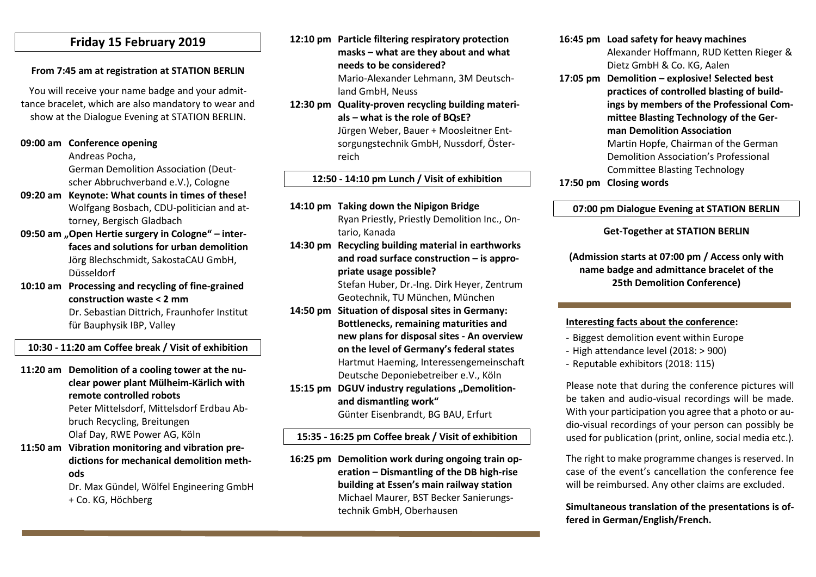## **Friday 15 February 2019**

#### **From 7:45 am at registration at STATION BERLIN**

You will receive your name badge and your admittance bracelet, which are also mandatory to wear and show at the Dialogue Evening at STATION BERLIN.

#### **09:00 am Conference opening**

Andreas Pocha,

German Demolition Association (Deutscher Abbruchverband e.V.), Cologne

- **09:20 am Keynote: What counts in times of these!** Wolfgang Bosbach, CDU-politician and attorney, Bergisch Gladbach
- **09:50 am "Open Hertie surgery in Cologne" – interfaces and solutions for urban demolition** Jörg Blechschmidt, SakostaCAU GmbH, Düsseldorf
- **10:10 am Processing and recycling of fine-grained construction waste < 2 mm**

Dr. Sebastian Dittrich, Fraunhofer Institut für Bauphysik IBP, Valley

#### **10:30 - 11:20 am Coffee break / Visit of exhibition**

- **11:20 am Demolition of a cooling tower at the nuclear power plant Mülheim-Kärlich with remote controlled robots** Peter Mittelsdorf, Mittelsdorf Erdbau Abbruch Recycling, Breitungen Olaf Day, RWE Power AG, Köln
- **11:50 am Vibration monitoring and vibration predictions for mechanical demolition methods**

Dr. Max Gündel, Wölfel Engineering GmbH + Co. KG, Höchberg

**12:10 pm Particle filtering respiratory protection masks – what are they about and what needs to be considered?** Mario-Alexander Lehmann, 3M Deutsch-

land GmbH, Neuss

**12:30 pm Quality-proven recycling building materials – what is the role of BQsE?** Jürgen Weber, Bauer + Moosleitner Entsorgungstechnik GmbH, Nussdorf, Österreich

#### **12:50 - 14:10 pm Lunch / Visit of exhibition**

- **14:10 pm Taking down the Nipigon Bridge** Ryan Priestly, Priestly Demolition Inc., Ontario, Kanada
- **14:30 pm Recycling building material in earthworks and road surface construction – is appropriate usage possible?**

Stefan Huber, Dr.-Ing. Dirk Heyer, Zentrum Geotechnik, TU München, München

- **14:50 pm Situation of disposal sites in Germany: Bottlenecks, remaining maturities and new plans for disposal sites - An overview on the level of Germany's federal states** Hartmut Haeming, Interessengemeinschaft Deutsche Deponiebetreiber e.V., Köln
- 15:15 pm DGUV industry regulations ..Demolition**and dismantling work"**

Günter Eisenbrandt, BG BAU, Erfurt

## **15:35 - 16:25 pm Coffee break / Visit of exhibition**

**16:25 pm Demolition work during ongoing train operation – Dismantling of the DB high-rise building at Essen's main railway station** Michael Maurer, BST Becker Sanierungstechnik GmbH, Oberhausen

- **16:45 pm Load safety for heavy machines** Alexander Hoffmann, RUD Ketten Rieger & Dietz GmbH & Co. KG, Aalen
- **17:05 pm Demolition – explosive! Selected best practices of controlled blasting of buildings by members of the Professional Committee Blasting Technology of the German Demolition Association** Martin Hopfe, Chairman of the German Demolition Association's Professional Committee Blasting Technology

#### **17:50 pm Closing words**

#### **07:00 pm Dialogue Evening at STATION BERLIN**

#### **Get-Together at STATION BERLIN**

**(Admission starts at 07:00 pm / Access only with name badge and admittance bracelet of the 25th Demolition Conference)**

#### **Interesting facts about the conference:**

- Biggest demolition event within Europe
- High attendance level (2018: > 900)
- Reputable exhibitors (2018: 115)

Please note that during the conference pictures will be taken and audio-visual recordings will be made. With your participation you agree that a photo or audio-visual recordings of your person can possibly be used for publication (print, online, social media etc.).

The right to make programme changes is reserved. In case of the event's cancellation the conference fee will be reimbursed. Any other claims are excluded.

### **Simultaneous translation of the presentations is offered in German/English/French.**